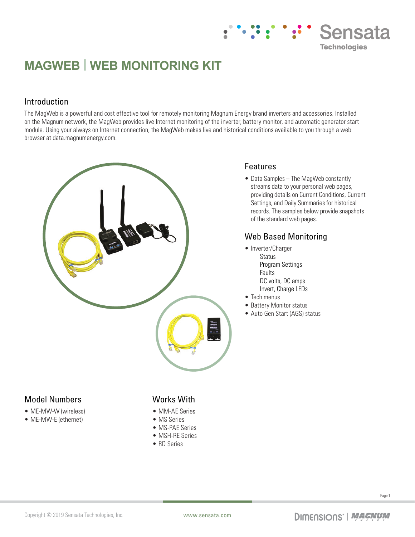# **MAGWEB | WEB MONITORING KIT**

#### Introduction

The MagWeb is a powerful and cost effective tool for remotely monitoring Magnum Energy brand inverters and accessories. Installed on the Magnum network, the MagWeb provides live Internet monitoring of the inverter, battery monitor, and automatic generator start module. Using your always on Internet connection, the MagWeb makes live and historical conditions available to you through a web browser at data.magnumenergy.com.



#### Features

• Data Samples – The MagWeb constantly streams data to your personal web pages, providing details on Current Conditions, Current Settings, and Daily Summaries for historical records. The samples below provide snapshots of the standard web pages.

Sensata

**Technologies** 

#### Web Based Monitoring

- Inverter/Charger Status Program Settings Faults DC volts, DC amps Invert, Charge LEDs
- Tech menus
- Battery Monitor status
- Auto Gen Start (AGS) status

#### Model Numbers

- ME-MW-W (wireless)
- ME-MW-E (ethernet)

#### Works With

- MM-AE Series
- MS Series
- MS-PAE Series
- MSH-RE Series
- RD Series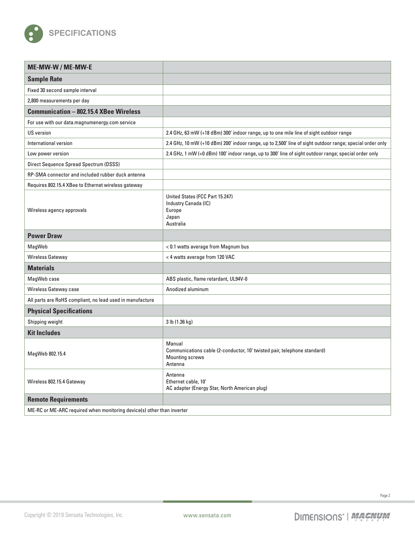

| ME-MW-W / ME-MW-E                                                      |                                                                                                                         |
|------------------------------------------------------------------------|-------------------------------------------------------------------------------------------------------------------------|
| <b>Sample Rate</b>                                                     |                                                                                                                         |
| Fixed 30 second sample interval                                        |                                                                                                                         |
| 2,800 measurements per day                                             |                                                                                                                         |
| <b>Communication - 802.15.4 XBee Wireless</b>                          |                                                                                                                         |
| For use with our data.magnumenergy.com service                         |                                                                                                                         |
| <b>US</b> version                                                      | 2.4 GHz, 63 mW (+18 dBm) 300' indoor range, up to one mile line of sight outdoor range                                  |
| International version                                                  | 2.4 GHz, 10 mW (+10 dBm) 200' indoor range, up to 2,500' line of sight outdoor range; special order only                |
| Low power version                                                      | 2.4 GHz, 1 mW (+0 dBm) 100' indoor range, up to 300' line of sight outdoor range; special order only                    |
| Direct Sequence Spread Spectrum (DSSS)                                 |                                                                                                                         |
| RP-SMA connector and included rubber duck antenna                      |                                                                                                                         |
| Requires 802.15.4 XBee to Ethernet wireless gateway                    |                                                                                                                         |
| Wireless agency approvals                                              | United States (FCC Part 15.247)<br>Industry Canada (IC)<br>Europe<br>Japan<br>Australia                                 |
| <b>Power Draw</b>                                                      |                                                                                                                         |
| MagWeb                                                                 | < 0.1 watts average from Magnum bus                                                                                     |
| Wireless Gateway                                                       | < 4 watts average from 120 VAC                                                                                          |
| <b>Materials</b>                                                       |                                                                                                                         |
| MagWeb case                                                            | ABS plastic, flame retardant, UL94V-0                                                                                   |
| Wireless Gateway case                                                  | Anodized aluminum                                                                                                       |
| All parts are RoHS compliant, no lead used in manufacture              |                                                                                                                         |
| <b>Physical Specifications</b>                                         |                                                                                                                         |
| Shipping weight                                                        | 3 lb (1.36 kg)                                                                                                          |
| <b>Kit Includes</b>                                                    |                                                                                                                         |
| MagWeb 802.15.4                                                        | Manual<br>Communications cable (2-conductor, 10' twisted pair, telephone standard)<br><b>Mounting screws</b><br>Antenna |
| Wireless 802.15.4 Gateway                                              | Antenna<br>Ethernet cable, 10'<br>AC adapter (Energy Star, North American plug)                                         |
| <b>Remote Requirements</b>                                             |                                                                                                                         |
| ME-RC or ME-ARC required when monitoring device(s) other than inverter |                                                                                                                         |